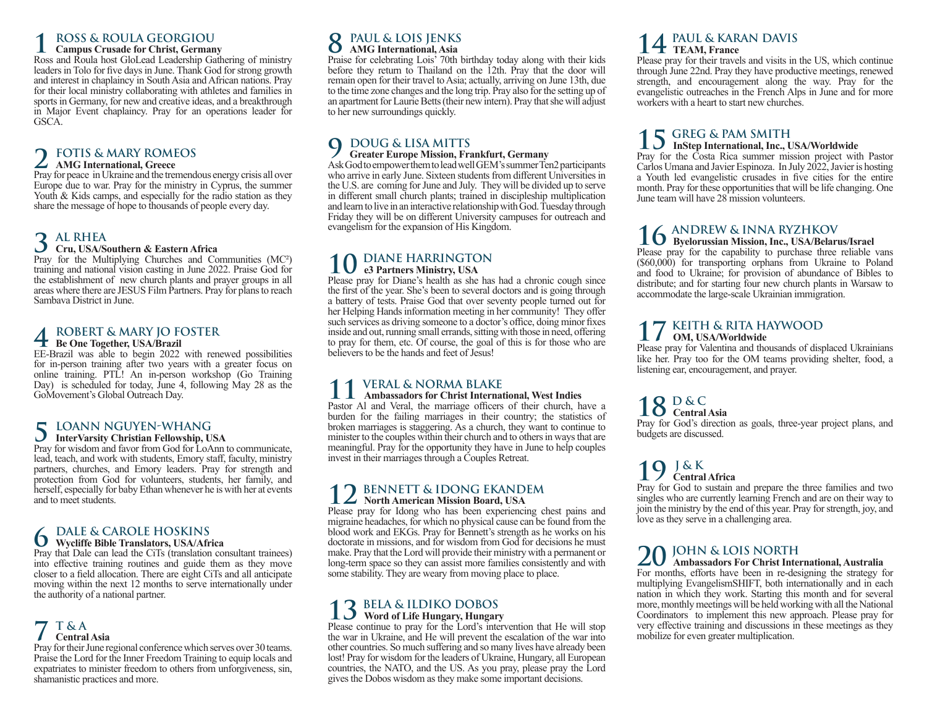### **1 ROSS & ROULA GEORGIOU**

### **Campus Crusade for Christ, Germany**

Ross and Roula host GloLead Leadership Gathering of ministry leaders in Tolo for five days in June. Thank God for strong growth and interest in chaplaincy in South Asia and African nations. Pray for their local ministry collaborating with athletes and families in sports in Germany, for new and creative ideas, and a breakthrough in Major Event chaplaincy. Pray for an operations leader for GSCA.

### **2 FOTIS & MARY ROMEOS AMG International, Greece**

Pray for peace in Ukraine and the tremendous energy crisis all over Europe due to war. Pray for the ministry in Cyprus, the summer Youth & Kids camps, and especially for the radio station as they share the message of hope to thousands of people every day.

### **3 AL RHEA**

### **Cru, USA/Southern & Eastern Africa**

Pray for the Multiplying Churches and Communities (MC²) training and national vision casting in June 2022. Praise God for the establishment of new church plants and prayer groups in all areas where there are JESUS Film Partners. Pray for plans to reach Sambava District in June.

### **4 ROBERT & MARY JO FOSTER Be One Together, USA/Brazil**

EE-Brazil was able to begin 2022 with renewed possibilities for in-person training after two years with a greater focus on online training. PTL! An in-person workshop (Go Training Day) is scheduled for today, June 4, following May 28 as the GoMovement's Global Outreach Day.

### **5 LOANN NGUYEN-WHANG InterVarsity Christian Fellowship, USA**

Pray for wisdom and favor from God for LoAnn to communicate, lead, teach, and work with students, Emory staff, faculty, ministry partners, churches, and Emory leaders. Pray for strength and protection from God for volunteers, students, her family, and herself, especially for baby Ethan whenever he is with her at events and to meet students.

**6** DALE & CAROLE HOSKINS<br>
Pray that Dale can lead the CiTs (translation consultant trainees)

into effective training routines and guide them as they move closer to a field allocation. There are eight CiTs and all anticipate moving within the next 12 months to serve internationally under the authority of a national partner.

#### **7 T & A Central Asia**

Pray for their June regional conference which serves over 30 teams. Praise the Lord for the Inner Freedom Training to equip locals and expatriates to minister freedom to others from unforgiveness, sin, shamanistic practices and more.

#### **8 PAUL & LOIS JENKS**<br>**8 AMG International Asia AMG International, Asia**

Praise for celebrating Lois' 70th birthday today along with their kids before they return to Thailand on the 12th. Pray that the door will remain open for their travel to Asia; actually, arriving on June 13th, due to the time zone changes and the long trip. Pray also for the setting up of an apartment for Laurie Betts (their new intern). Pray that she will adjust to her new surroundings quickly.

#### **9 DOUG & LISA MITTS Greater Europe Mission, Frankfurt, Germany**

Ask God to empower them to lead well GEM's summer Ten2 participants who arrive in early June. Sixteen students from different Universities in the U.S. are coming for June and July. They will be divided up to serve in different small church plants; trained in discipleship multiplication and learn to live in an interactive relationship with God. Tuesday through Friday they will be on different University campuses for outreach and evangelism for the expansion of His Kingdom.

### **10 DIANE HARRINGTON e3 Partners Ministry, USA**

Please pray for Diane's health as she has had a chronic cough since the first of the year. She's been to several doctors and is going through a battery of tests. Praise God that over seventy people turned out for her Helping Hands information meeting in her community! They offer such services as driving someone to a doctor's office, doing minor fixes inside and out, running small errands, sitting with those in need, offering to pray for them, etc. Of course, the goal of this is for those who are believers to be the hands and feet of Jesus!

#### *VERAL & NORMA BLAKE* **Ambassadors for Christ International, West Indies**

Pastor Al and Veral, the marriage officers of their church, have a burden for the failing marriages in their country; the statistics of broken marriages is staggering. As a church, they want to continue to minister to the couples within their church and to others in ways that are meaningful. Pray for the opportunity they have in June to help couples invest in their marriages through a Couples Retreat.

### **12 BENNETT & IDONG EKANDEM North American Mission Board, USA**

Please pray for Idong who has been experiencing chest pains and migraine headaches, for which no physical cause can be found from the blood work and EKGs. Pray for Bennett's strength as he works on his doctorate in missions, and for wisdom from God for decisions he must make. Pray that the Lord will provide their ministry with a permanent or long-term space so they can assist more families consistently and with some stability. They are weary from moving place to place.

### **13 BELA & ILDIKO DOBOS Word of Life Hungary, Hungary**

Please continue to pray for the Lord's intervention that He will stop the war in Ukraine, and He will prevent the escalation of the war into other countries. So much suffering and so many lives have already been lost! Pray for wisdom for the leaders of Ukraine, Hungary, all European countries, the NATO, and the US. As you pray, please pray the Lord gives the Dobos wisdom as they make some important decisions.

### **14 PAUL & KARAN DAVIS TEAM, France**

Please pray for their travels and visits in the US, which continue through June 22nd. Pray they have productive meetings, renewed strength, and encouragement along the way. Pray for the evangelistic outreaches in the French Alps in June and for more workers with a heart to start new churches.

## **15 GREG & PAM SMITH InStep International, Inc., USA/Worldwide**

Pray for the Costa Rica summer mission project with Pastor Carlos Umana and Javier Espinoza. In July 2022, Javier is hosting a Youth led evangelistic crusades in five cities for the entire month. Pray for these opportunities that will be life changing. One June team will have 28 mission volunteers.

# **16 ANDREW & INNA RYZHKOV Byelorussian Mission, Inc., USA/Belarus/Israel**

Please pray for the capability to purchase three reliable vans (\$60,000) for transporting orphans from Ukraine to Poland and food to Ukraine; for provision of abundance of Bibles to distribute; and for starting four new church plants in Warsaw to accommodate the large-scale Ukrainian immigration.

#### **17 KEITH & RITA HAYWOOD OM, USA/Worldwide**

Please pray for Valentina and thousands of displaced Ukrainians like her. Pray too for the OM teams providing shelter, food, a listening ear, encouragement, and prayer.

### **18 D & C Central Asia**

Pray for God's direction as goals, three-year project plans, and budgets are discussed.

#### **19 J & K Central Africa**

Pray for God to sustain and prepare the three families and two singles who are currently learning French and are on their way to join the ministry by the end of this year. Pray for strength, joy, and love as they serve in a challenging area.

#### 20 JOHN & LOIS NORTH **Ambassadors For Christ International, Australia**

For months, efforts have been in re-designing the strategy for multiplying EvangelismSHIFT, both internationally and in each nation in which they work. Starting this month and for several more, monthly meetings will be held working with all the National Coordinators to implement this new approach. Please pray for very effective training and discussions in these meetings as they mobilize for even greater multiplication.